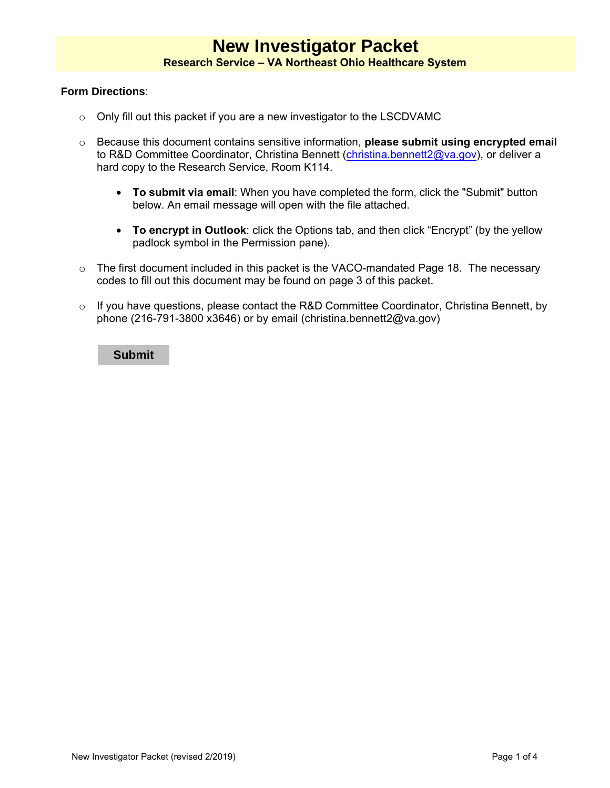### **Form Directions**:

- o Only fill out this packet if you are a new investigator to the LSCDVAMC
- o Because this document contains sensitive information, **please submit using encrypted email** to R&D Committee Coordinator, Christina Bennett [\(christina.bennett2@va.gov\)](mailto:christina.bennett2@va.gov), or deliver a hard copy to the Research Service, Room K114.
	- **To submit via email**: When you have completed the form, click the "Submit" button below. An email message will open with the file attached.
	- **To encrypt in Outlook**: click the Options tab, and then click "Encrypt" (by the yellow padlock symbol in the Permission pane).
- o The first document included in this packet is the VACO-mandated Page 18. The necessary codes to fill out this document may be found on page 3 of this packet.
- o If you have questions, please contact the R&D Committee Coordinator, Christina Bennett, by phone (216-791-3800 x3646) or by email (christina.bennett2@va.gov)

#### **Submit**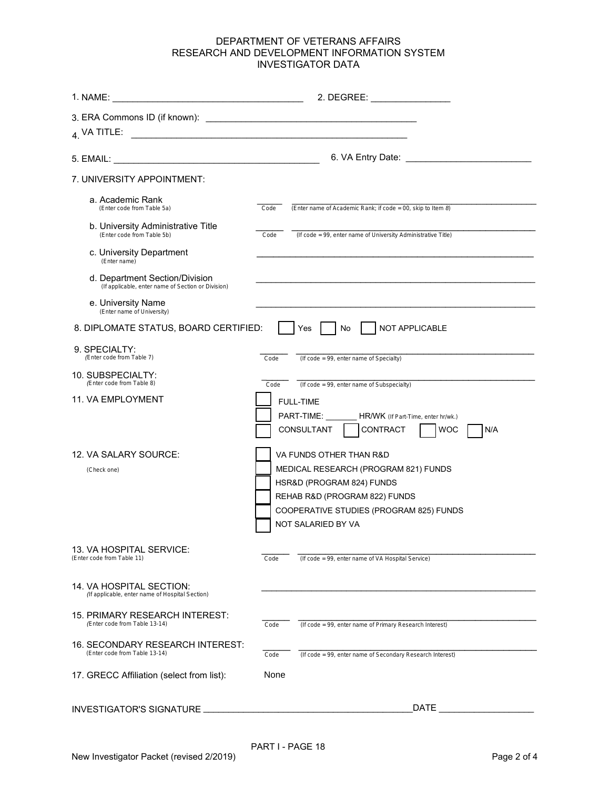## DEPARTMENT OF VETERANS AFFAIRS RESEARCH AND DEVELOPMENT INFORMATION SYSTEM INVESTIGATOR DATA

541 Cleveland, OH

| 1. NAME:                                                                             |                                                                                                                                                                                                |
|--------------------------------------------------------------------------------------|------------------------------------------------------------------------------------------------------------------------------------------------------------------------------------------------|
| $_4$ VA TITLE:<br><u> 1989 - Andrea Stadt, fransk politik (d. 1989)</u>              |                                                                                                                                                                                                |
|                                                                                      |                                                                                                                                                                                                |
| 7. UNIVERSITY APPOINTMENT:                                                           |                                                                                                                                                                                                |
| a. Academic Rank<br>(Enter code from Table 5a)                                       | (Enter name of Academic Rank; if code = 00, skip to Item 8)<br>Code                                                                                                                            |
| b. University Administrative Title<br>(Enter code from Table 5b)                     | (If code = 99, enter name of University Administrative Title)<br>Code                                                                                                                          |
| c. University Department<br>(Enter name)                                             |                                                                                                                                                                                                |
| d. Department Section/Division<br>(If applicable, enter name of Section or Division) |                                                                                                                                                                                                |
| e. University Name<br>(Enter name of University)                                     |                                                                                                                                                                                                |
| 8. DIPLOMATE STATUS, BOARD CERTIFIED:                                                | NOT APPLICABLE<br>No<br>Yes                                                                                                                                                                    |
| 9. SPECIALTY:<br>(Enter code from Table 7)                                           | (If code = 99, enter name of Specialty)<br>Code                                                                                                                                                |
| 10. SUBSPECIALTY:<br>(Enter code from Table 8)                                       | (If code = 99, enter name of Subspecialty)<br>Code                                                                                                                                             |
| 11. VA EMPLOYMENT                                                                    | <b>FULL-TIME</b><br>PART-TIME: __________ HR/WK (If Part-Time, enter hr/wk.)<br>CONTRACT<br>CONSULTANT<br><b>WOC</b><br>N/A                                                                    |
| 12. VA SALARY SOURCE:<br>(Check one)                                                 | VA FUNDS OTHER THAN R&D<br>MEDICAL RESEARCH (PROGRAM 821) FUNDS<br>HSR&D (PROGRAM 824) FUNDS<br>REHAB R&D (PROGRAM 822) FUNDS<br>COOPERATIVE STUDIES (PROGRAM 825) FUNDS<br>NOT SALARIED BY VA |
| 13. VA HOSPITAL SERVICE:<br>(Enter code from Table 11)                               | Code<br>(If code = 99, enter name of VA Hospital Service)                                                                                                                                      |
| 14. VA HOSPITAL SECTION:<br>(If applicable, enter name of Hospital Section)          |                                                                                                                                                                                                |
| 15. PRIMARY RESEARCH INTEREST:<br>(Enter code from Table 13-14)                      | (If code = 99, enter name of Primary Research Interest)<br>Code                                                                                                                                |
| 16. SECONDARY RESEARCH INTEREST:<br>(Enter code from Table 13-14)                    | (If code = 99, enter name of Secondary Research Interest)<br>Code                                                                                                                              |
| 17. GRECC Affiliation (select from list):                                            | None                                                                                                                                                                                           |
| <b>INVESTIGATOR'S SIGNATURE</b>                                                      | DATE                                                                                                                                                                                           |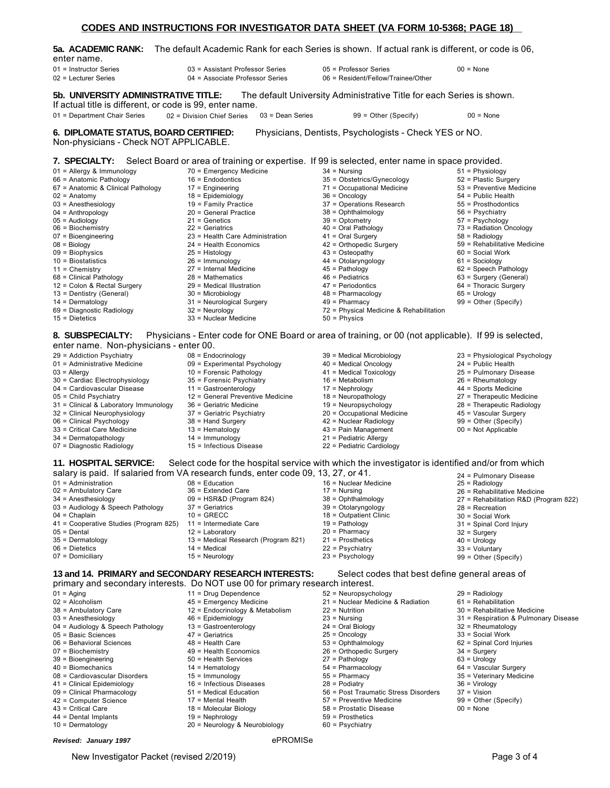|                                                                                 | 000 - 0000, 1 AU 1 MOI 1 MIN 1 MIN 1 MIN 1 MIN 1 MIN 1 MIN 1 MIN 1 MIN 1 MIN 1 MIN 1 MU 1 MI                         |                                                                       |                              |
|---------------------------------------------------------------------------------|----------------------------------------------------------------------------------------------------------------------|-----------------------------------------------------------------------|------------------------------|
| 5a.  ACADEMIC RANK:<br>enter name.                                              | . The default Academic Rank for each Series is shown. If actual rank is different, or code is 06                     |                                                                       |                              |
| 01 = Instructor Series                                                          | 03 = Assistant Professor Series                                                                                      | 05 = Professor Series                                                 | $00 = None$                  |
| 02 = Lecturer Series                                                            | 04 = Associate Professor Series                                                                                      | 06 = Resident/Fellow/Trainee/Other                                    |                              |
| 5b. UNIVERSITY ADMINISTRATIVE TITLE:                                            |                                                                                                                      | The default University Administrative Title for each Series is shown. |                              |
| If actual title is different, or code is 99, enter name.                        |                                                                                                                      |                                                                       |                              |
| 01 = Department Chair Series                                                    | $03$ = Dean Series<br>02 = Division Chief Series                                                                     | $99 =$ Other (Specify)                                                | $00 = \text{None}$           |
| 6. DIPLOMATE STATUS, BOARD CERTIFIED:<br>Non-physicians - Check NOT APPLICABLE. | <b>7. SPECIALTY:</b> Select Board or area of training or expertise. If 99 is selected, enter name in space provided. | Physicians, Dentists, Psychologists - Check YES or NO.                |                              |
| 01 = Allergy & Immunology                                                       | 70 = Emergency Medicine                                                                                              | $34 =$ Nursing                                                        | $51$ = Physiology            |
| 66 = Anatomic Pathology                                                         | $16$ = Endodontics                                                                                                   |                                                                       | 52 = Plastic Surgery         |
|                                                                                 |                                                                                                                      | 35 = Obstetrics/Gynecology                                            | 53 = Preventive Medicine     |
| 67 = Anatomic & Clinical Pathology                                              | $17$ = Engineering<br>$18$ = Epidemiology                                                                            | 71 = Occupational Medicine<br>$36 =$ Oncology                         | 54 = Public Health           |
| 02 = Anatomy<br>03 = Anesthesiology                                             |                                                                                                                      | 37 = Operations Research                                              | $55 =$ Prosthodontics        |
| $04 =$ Anthropology                                                             | 19 = Family Practice<br>20 = General Practice                                                                        | $38 =$ Ophthalmology                                                  | $56$ = Psychiatry            |
| $05 =$ Audiology                                                                | $21$ = Genetics                                                                                                      | $39 =$ Optometry                                                      | $57 =$ Psychology            |
| 06 = Biochemistry                                                               | $22$ = Geriatrics                                                                                                    | 40 = Oral Pathology                                                   | 73 = Radiation Oncology      |
| 07 = Bioengineering                                                             | 23 = Health Care Administration                                                                                      | $41$ = Oral Surgery                                                   | $58$ = Radiology             |
| $08 = Biology$                                                                  | $24$ = Health Economics                                                                                              | 42 = Orthopedic Surgery                                               | 59 = Rehabilitative Medicine |
| 09 = Biophysics                                                                 | $25$ = Histology                                                                                                     | $43 =$ Osteopathy                                                     | $60$ = Social Work           |
| $10 = Biostatistics$                                                            | $26 =$ Immunology                                                                                                    | 44 = Otolaryngology                                                   | $61 =$ Sociology             |
| $11 =$ Chemistry                                                                | $27$ = Internal Medicine                                                                                             | $45$ = Pathology                                                      | 62 = Speech Pathology        |
| 68 = Clinical Pathology                                                         | $28$ = Mathematics                                                                                                   | $46$ = Pediatrics                                                     | 63 = Surgery (General)       |

\_\_\_\_\_\_\_\_\_\_\_\_\_\_\_\_\_\_\_\_\_\_\_\_\_\_\_\_\_\_\_\_\_\_\_\_\_\_\_\_\_\_\_\_\_\_\_\_\_\_\_\_\_\_\_\_\_\_\_\_\_\_\_\_\_\_\_\_\_\_\_\_\_\_\_\_\_\_\_\_\_\_\_\_\_\_\_\_\_\_\_\_\_\_\_\_\_\_\_\_\_\_\_\_\_\_\_\_\_\_\_\_\_\_\_\_\_\_ **CODES AND INSTRUCTIONS FOR INVESTIGATOR DATA SHEET (VA FORM 10-5368; PAGE 18)** 

- 68 = Clinical Pathology
- 12 = Colon & Rectal Surgery
- 
- 13 = Dentistry (General)
- 
- 69 = Diagnostic Radiology

29 = Addiction Psychiatry 01 = Administrative Medicine

30 = Cardiac Electrophysiology 04 = Cardiovascular Disease 05 = Child Psychiatry

31 = Clinical & Laboratory Immunology 32 = Clinical Neurophysiology 06 = Clinical Psychology 33 = Critical Care Medicine 34 = Dermatopathology 07 = Diagnostic Radiology

03 = Audiology & Speech Pathology

41 = Cooperative Studies (Program 825)

14 = Dermatology 15 = Dietetics

03 = Allergy

- 
- **8. SUBSPECIALTY:** Physicians Enter code for ONE Board or area of training, or 00 (not applicable). If 99 is selected, enter name. Non-physicians - enter 00.
	- 08 = Endocrinology

29 = Medical Illustration 30 = Microbiology 31 = Neurological Surgery  $32$  = Neurology 33 = Nuclear Medicine

- 09 = Experimental Psychology
- 10 = Forensic Pathology
- 35 = Forensic Psychiatry
- 11 = Gastroenterology
- 12 = General Preventive Medicine
- 36 = Geriatric Medicine
- 37 = Geriatric Psychiatry
- 38 = Hand Surgery
- 13 = Hematology
- 14 = Immunology

08 = Education 36 = Extended Care 09 = HSR&D (Program 824)

37 = Geriatrics  $10 = GRECC$ 11 = Intermediate Care 12 = Laboratory

14 = Medical 15 = Neurology

- 15 = Infectious Disease
- -

47 = Periodontics 48 = Pharmacology 49 = Pharmacy

39 = Medical Microbiology 40 = Medical Oncology 41 = Medical Toxicology 16 = Metabolism 17 = Nephrology 18 = Neuropathology 19 = Neuropsychology 20 = Occupational Medicine 42 = Nuclear Radiology 43 = Pain Management 21 = Pediatric Allergy

50 = Physics

72 = Physical Medicine & Rehabilitation

- 18 = Outpatient Clinic
- 19 = Pathology
- 
- 
- 
- 

#### **13 and 14. PRIMARY and SECONDARY RESEARCH INTERESTS:** Select codes that best define general areas of

46 = Epidemiology 13 = Gastroenterology 47 = Geriatrics 48 = Health Care 49 = Health Economics 50 = Health Services  $14$  = Hematology 15 = Immunology 16 = Infectious Diseases 51 = Medical Education 17 = Mental Health 18 = Molecular Biology 19 = Nephrology

45 = Emergency Medicine 12 = Endocrinology & Metabolism

20 = Neurology & Neurobiology

13 = Medical Research (Program 821)

primary and secondary interests. Do NOT use 00 for primary research interest. 11 = Drug Dependence

- $01 =$  Aging
- 02 = Alcoholism

01 = Administration 02 = Ambulatory Care 34 = Anesthesiology

 $04 =$ Chaplain

05 = Dental 35 = Dermatology 06 = Dietetics 07 = Domiciliary

- 38 = Ambulatory Care
- 03 = Anesthesiology
- 04 = Audiology & Speech Pathology
- 05 = Basic Sciences
- 06 = Behavioral Sciences
- 07 = Biochemistry
- 39 = Bioengineering 40 = Biomechanics
- 08 = Cardiovascular Disorders
- 41 = Clinical Epidemiology
- 09 = Clinical Pharmacology
- 42 = Computer Science
- 43 = Critical Care
- 44 = Dental Implants
- 10 = Dermatology

#### *Revised: January 1997* ePROMISe

New Investigator Packet (revised 2/2019) **Page 3 of 4** 

- 37 = Vision
- 99 = Other (Specify)
- $00 = \text{None}$

36 = Virology

- 22 = Pediatric Cardiology **11. HOSPITAL SERVICE:** Select code for the hospital service with which the investigator is identified and/or from which salary is paid. If salaried from VA research funds, enter code 09, 13, 27, or 41. 24 = Pulmonary Disease 16 = Nuclear Medicine  $17 =$  Nursing 38 = Ophthalmology 39 = Otolaryngology
	-
	-
	- 20 = Pharmacy
	- 21 = Prosthetics
	- 22 = Psychiatry
	- $23 =$  Psychology
	-
	-
	- 52 = Neuropsychology 21 = Nuclear Medicine & Radiation
	-
	- 22 = Nutrition 23 = Nursing
	- 24 = Oral Biology
	- 25 = Oncology
	- 53 = Ophthalmology
	- 26 = Orthopedic Surgery
	- 27 = Pathology
	-
	- 54 = Pharmacology
	- 55 = Pharmacy
	- 28 = Podiatry
	- 56 = Post Traumatic Stress Disorders
	- 57 = Preventive Medicine
	- 58 = Prostatic Disease
	- 59 = Prosthetics
	- 60 = Psychiatry

25 = Radiology 26 = Rehabilitative Medicine

- 27 = Rehabilitation R&D (Program 822)
- 28 = Recreation

64 = Thoracic Surgery 65 = Urology 99 = Other (Specify)

23 = Physiological Psychology

24 = Public Health 25 = Pulmonary Disease 26 = Rheumatology 44 = Sports Medicine 27 = Therapeutic Medicine 28 = Therapeutic Radiology 45 = Vascular Surgery 99 = Other (Specify) 00 = Not Applicable

- 30 = Social Work
- 31 = Spinal Cord Injury
- 32 = Surgery
- $40 =$  Urology
- 33 = Voluntary
- 99 = Other (Specify)
- 
- -
	- 29 = Radiology
	- $61$  = Rehabilitation

32 = Rheumatology 33 = Social Work 62 = Spinal Cord Injuries  $34 =$  Surgery  $63$  = Urology 64 = Vascular Surgery 35 = Veterinary Medicine

- 30 = Rehabilitative Medicine
- 31 = Respiration & Pulmonary Disease